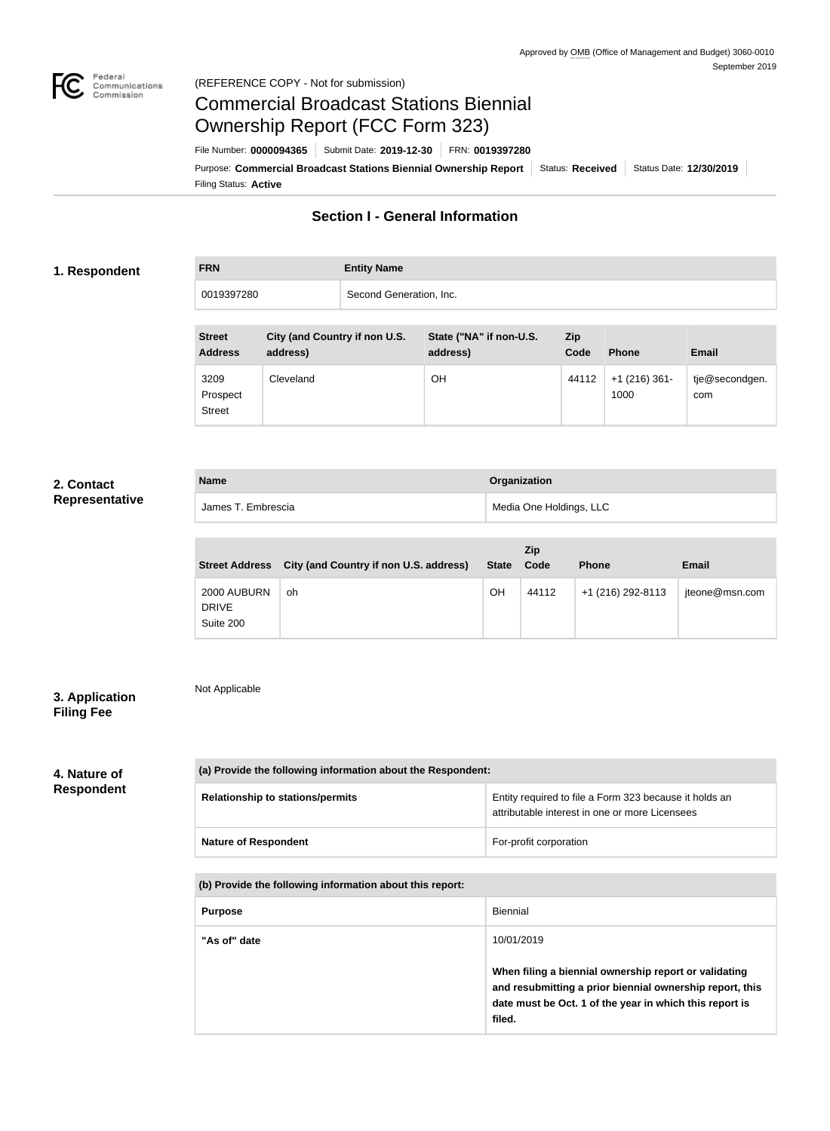

# Commercial Broadcast Stations Biennial Ownership Report (FCC Form 323)

Filing Status: **Active** Purpose: Commercial Broadcast Stations Biennial Ownership Report Status: Received Status Date: 12/30/2019 File Number: **0000094365** Submit Date: **2019-12-30** FRN: **0019397280**

## **Section I - General Information**

#### **1. Respondent**

| <b>FRN</b> | <b>Entity Name</b>      |
|------------|-------------------------|
| 0019397280 | Second Generation, Inc. |

| <b>Street</b><br><b>Address</b>   | City (and Country if non U.S.<br>address) | State ("NA" if non-U.S.<br>address) | <b>Zip</b><br>Code | <b>Phone</b>            | <b>Email</b>          |
|-----------------------------------|-------------------------------------------|-------------------------------------|--------------------|-------------------------|-----------------------|
| 3209<br>Prospect<br><b>Street</b> | Cleveland                                 | OH                                  | 44112              | $+1$ (216) 361-<br>1000 | tje@secondgen.<br>com |

#### **2. Contact Representative**

| <b>Name</b>        | Organization            |
|--------------------|-------------------------|
| James T. Embrescia | Media One Holdings, LLC |

|                                          |                                        |              | Zip   |                   |                |
|------------------------------------------|----------------------------------------|--------------|-------|-------------------|----------------|
| <b>Street Address</b>                    | City (and Country if non U.S. address) | <b>State</b> | Code  | <b>Phone</b>      | <b>Email</b>   |
| 2000 AUBURN<br><b>DRIVE</b><br>Suite 200 | oh                                     | OH           | 44112 | +1 (216) 292-8113 | jteone@msn.com |

### **3. Application Filing Fee**

Not Applicable

**4. Nature of Respondent**

| (a) Provide the following information about the Respondent: |                                                                                                          |  |  |
|-------------------------------------------------------------|----------------------------------------------------------------------------------------------------------|--|--|
| <b>Relationship to stations/permits</b>                     | Entity required to file a Form 323 because it holds an<br>attributable interest in one or more Licensees |  |  |
| <b>Nature of Respondent</b>                                 | For-profit corporation                                                                                   |  |  |

**(b) Provide the following information about this report:**

| <b>Purpose</b> | <b>Biennial</b>                                                                                                                                                                        |
|----------------|----------------------------------------------------------------------------------------------------------------------------------------------------------------------------------------|
| "As of" date   | 10/01/2019                                                                                                                                                                             |
|                | When filing a biennial ownership report or validating<br>and resubmitting a prior biennial ownership report, this<br>date must be Oct. 1 of the year in which this report is<br>filed. |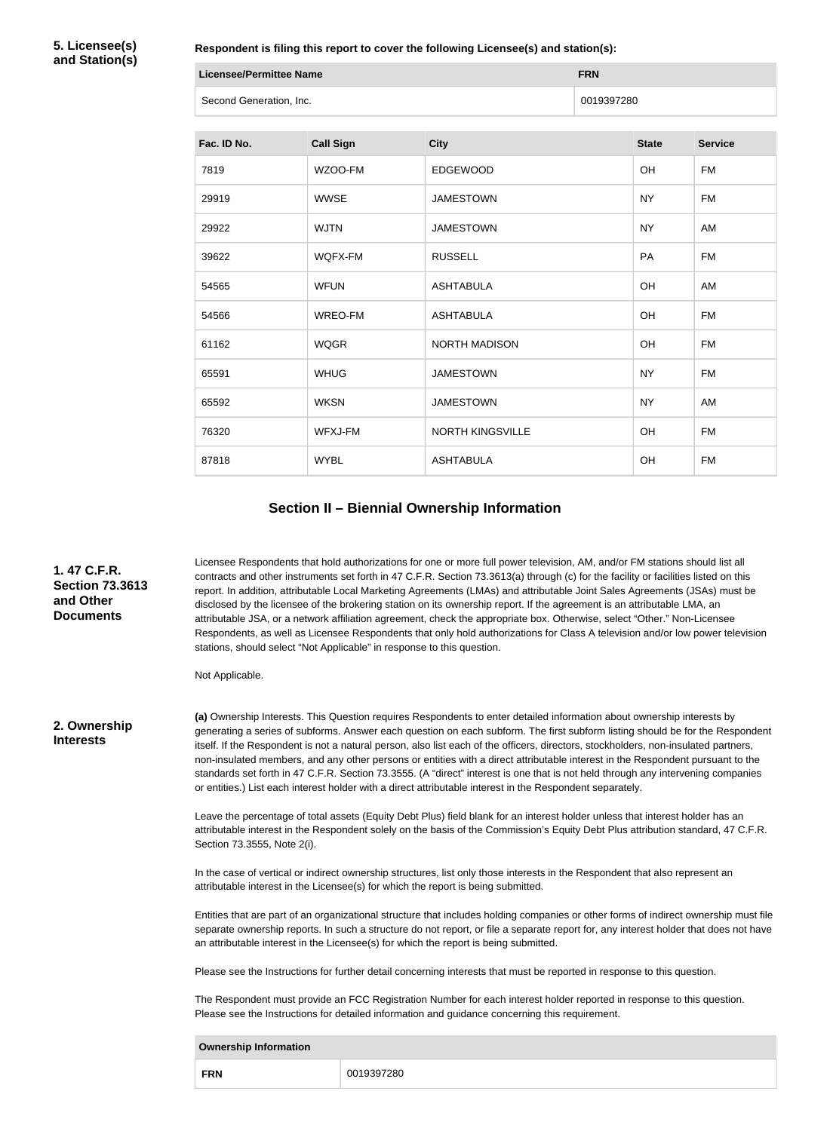**5. Licensee(s) and Station(s)**

**Respondent is filing this report to cover the following Licensee(s) and station(s):**

| <b>Licensee/Permittee Name</b> | <b>FRN</b> |
|--------------------------------|------------|
| Second Generation, Inc.        | 0019397280 |

| Fac. ID No. | <b>Call Sign</b> | <b>City</b>             | <b>State</b> | <b>Service</b> |
|-------------|------------------|-------------------------|--------------|----------------|
| 7819        | WZOO-FM          | <b>EDGEWOOD</b>         | <b>OH</b>    | FM             |
| 29919       | <b>WWSE</b>      | <b>JAMESTOWN</b>        | <b>NY</b>    | <b>FM</b>      |
| 29922       | <b>WJTN</b>      | <b>JAMESTOWN</b>        | <b>NY</b>    | AM             |
| 39622       | WQFX-FM          | <b>RUSSELL</b>          | PA           | <b>FM</b>      |
| 54565       | <b>WFUN</b>      | <b>ASHTABULA</b>        | OH           | AM             |
| 54566       | WREO-FM          | <b>ASHTABULA</b>        | OH           | FM             |
| 61162       | <b>WQGR</b>      | <b>NORTH MADISON</b>    | OH           | <b>FM</b>      |
| 65591       | <b>WHUG</b>      | <b>JAMESTOWN</b>        | <b>NY</b>    | <b>FM</b>      |
| 65592       | <b>WKSN</b>      | <b>JAMESTOWN</b>        | <b>NY</b>    | AM             |
| 76320       | WFXJ-FM          | <b>NORTH KINGSVILLE</b> | OH           | <b>FM</b>      |
| 87818       | <b>WYBL</b>      | <b>ASHTABULA</b>        | OH           | FM             |

#### **Section II – Biennial Ownership Information**

**1. 47 C.F.R. Section 73.3613 and Other Documents**

Licensee Respondents that hold authorizations for one or more full power television, AM, and/or FM stations should list all contracts and other instruments set forth in 47 C.F.R. Section 73.3613(a) through (c) for the facility or facilities listed on this report. In addition, attributable Local Marketing Agreements (LMAs) and attributable Joint Sales Agreements (JSAs) must be disclosed by the licensee of the brokering station on its ownership report. If the agreement is an attributable LMA, an attributable JSA, or a network affiliation agreement, check the appropriate box. Otherwise, select "Other." Non-Licensee Respondents, as well as Licensee Respondents that only hold authorizations for Class A television and/or low power television stations, should select "Not Applicable" in response to this question.

Not Applicable.

**2. Ownership Interests**

**(a)** Ownership Interests. This Question requires Respondents to enter detailed information about ownership interests by generating a series of subforms. Answer each question on each subform. The first subform listing should be for the Respondent itself. If the Respondent is not a natural person, also list each of the officers, directors, stockholders, non-insulated partners, non-insulated members, and any other persons or entities with a direct attributable interest in the Respondent pursuant to the standards set forth in 47 C.F.R. Section 73.3555. (A "direct" interest is one that is not held through any intervening companies or entities.) List each interest holder with a direct attributable interest in the Respondent separately.

Leave the percentage of total assets (Equity Debt Plus) field blank for an interest holder unless that interest holder has an attributable interest in the Respondent solely on the basis of the Commission's Equity Debt Plus attribution standard, 47 C.F.R. Section 73.3555, Note 2(i).

In the case of vertical or indirect ownership structures, list only those interests in the Respondent that also represent an attributable interest in the Licensee(s) for which the report is being submitted.

Entities that are part of an organizational structure that includes holding companies or other forms of indirect ownership must file separate ownership reports. In such a structure do not report, or file a separate report for, any interest holder that does not have an attributable interest in the Licensee(s) for which the report is being submitted.

Please see the Instructions for further detail concerning interests that must be reported in response to this question.

The Respondent must provide an FCC Registration Number for each interest holder reported in response to this question. Please see the Instructions for detailed information and guidance concerning this requirement.

|                          | <b>Ownership Information</b> |  |  |  |
|--------------------------|------------------------------|--|--|--|
| 0019397280<br><b>FRN</b> |                              |  |  |  |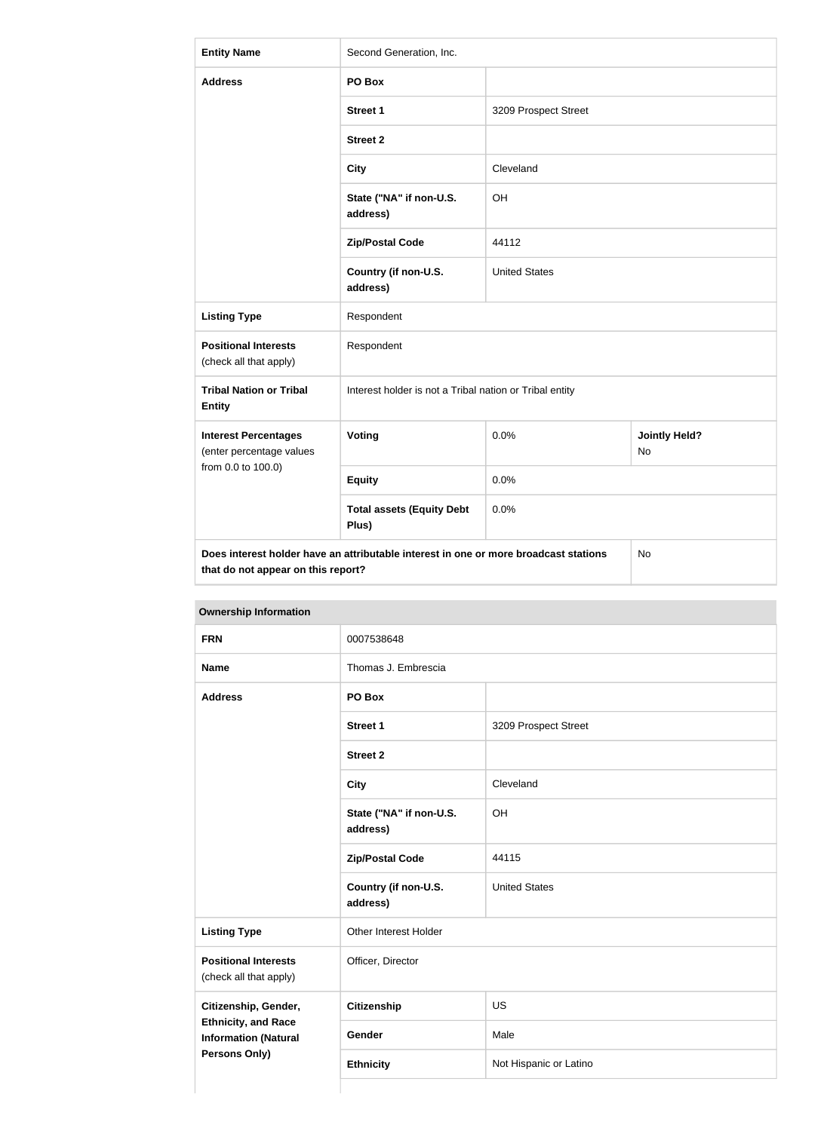| <b>Entity Name</b>                                                                                                                      | Second Generation, Inc.                                 |                      |                            |
|-----------------------------------------------------------------------------------------------------------------------------------------|---------------------------------------------------------|----------------------|----------------------------|
| <b>Address</b>                                                                                                                          | PO Box                                                  |                      |                            |
|                                                                                                                                         | <b>Street 1</b>                                         | 3209 Prospect Street |                            |
|                                                                                                                                         | <b>Street 2</b>                                         |                      |                            |
|                                                                                                                                         | <b>City</b>                                             | Cleveland            |                            |
|                                                                                                                                         | State ("NA" if non-U.S.<br>address)                     | OH                   |                            |
|                                                                                                                                         | <b>Zip/Postal Code</b>                                  | 44112                |                            |
|                                                                                                                                         | Country (if non-U.S.<br>address)                        | <b>United States</b> |                            |
| <b>Listing Type</b>                                                                                                                     | Respondent                                              |                      |                            |
| <b>Positional Interests</b><br>(check all that apply)                                                                                   | Respondent                                              |                      |                            |
| <b>Tribal Nation or Tribal</b><br><b>Entity</b>                                                                                         | Interest holder is not a Tribal nation or Tribal entity |                      |                            |
| <b>Interest Percentages</b><br>(enter percentage values                                                                                 | Voting                                                  | 0.0%                 | <b>Jointly Held?</b><br>No |
| from 0.0 to 100.0)                                                                                                                      | <b>Equity</b>                                           | 0.0%                 |                            |
|                                                                                                                                         | <b>Total assets (Equity Debt</b><br>Plus)               | 0.0%                 |                            |
| Does interest holder have an attributable interest in one or more broadcast stations<br><b>No</b><br>that do not appear on this report? |                                                         |                      |                            |

| <b>FRN</b>                                                                 | 0007538648                          |                        |
|----------------------------------------------------------------------------|-------------------------------------|------------------------|
| <b>Name</b>                                                                | Thomas J. Embrescia                 |                        |
| <b>Address</b>                                                             | PO Box                              |                        |
|                                                                            | <b>Street 1</b>                     | 3209 Prospect Street   |
|                                                                            | <b>Street 2</b>                     |                        |
|                                                                            | <b>City</b>                         | Cleveland              |
|                                                                            | State ("NA" if non-U.S.<br>address) | OH                     |
|                                                                            | <b>Zip/Postal Code</b>              | 44115                  |
|                                                                            | Country (if non-U.S.<br>address)    | <b>United States</b>   |
| <b>Listing Type</b>                                                        | Other Interest Holder               |                        |
| <b>Positional Interests</b><br>(check all that apply)                      | Officer, Director                   |                        |
| Citizenship, Gender,                                                       | Citizenship                         | US                     |
| <b>Ethnicity, and Race</b><br><b>Information (Natural</b><br>Persons Only) | Gender                              | Male                   |
|                                                                            | <b>Ethnicity</b>                    | Not Hispanic or Latino |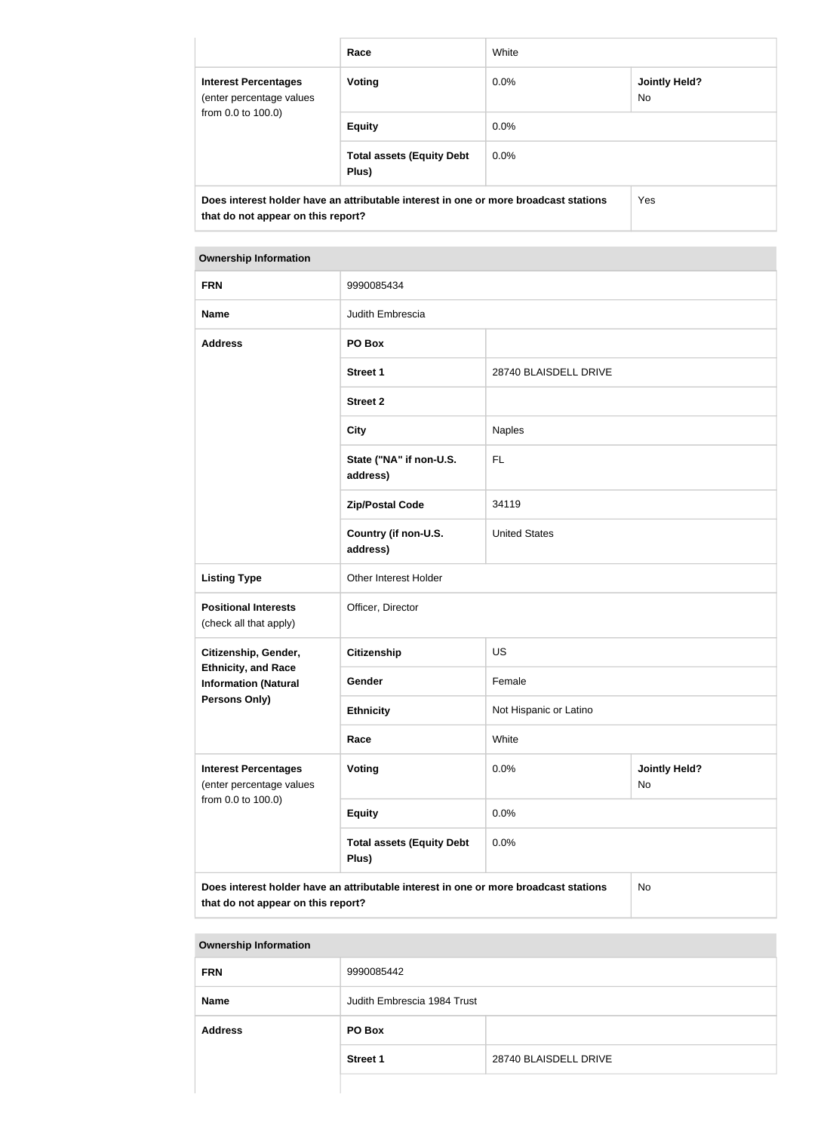|                                                                                                                            | Race                                      | White   |                             |
|----------------------------------------------------------------------------------------------------------------------------|-------------------------------------------|---------|-----------------------------|
| <b>Interest Percentages</b><br>(enter percentage values                                                                    | Voting                                    | $0.0\%$ | <b>Jointly Held?</b><br>No. |
| from 0.0 to 100.0)                                                                                                         | <b>Equity</b>                             | $0.0\%$ |                             |
|                                                                                                                            | <b>Total assets (Equity Debt</b><br>Plus) | $0.0\%$ |                             |
| Does interest holder have an attributable interest in one or more broadcast stations<br>that do not appear on this report? |                                           |         | Yes                         |

| <b>Ownership Information</b>                                                                                               |                                           |                                    |  |  |
|----------------------------------------------------------------------------------------------------------------------------|-------------------------------------------|------------------------------------|--|--|
| <b>FRN</b>                                                                                                                 | 9990085434                                |                                    |  |  |
| <b>Name</b>                                                                                                                | Judith Embrescia                          |                                    |  |  |
| <b>Address</b>                                                                                                             | PO Box                                    |                                    |  |  |
|                                                                                                                            | <b>Street 1</b>                           | 28740 BLAISDELL DRIVE              |  |  |
|                                                                                                                            | <b>Street 2</b>                           |                                    |  |  |
|                                                                                                                            | <b>City</b>                               | Naples                             |  |  |
|                                                                                                                            | State ("NA" if non-U.S.<br>address)       | <b>FL</b>                          |  |  |
|                                                                                                                            | <b>Zip/Postal Code</b>                    | 34119                              |  |  |
|                                                                                                                            | Country (if non-U.S.<br>address)          | <b>United States</b>               |  |  |
| <b>Listing Type</b>                                                                                                        | Other Interest Holder                     |                                    |  |  |
| <b>Positional Interests</b><br>(check all that apply)                                                                      | Officer, Director                         |                                    |  |  |
| Citizenship, Gender,                                                                                                       | <b>Citizenship</b>                        | <b>US</b>                          |  |  |
| <b>Ethnicity, and Race</b><br><b>Information (Natural</b>                                                                  | Gender                                    | Female                             |  |  |
| Persons Only)                                                                                                              | <b>Ethnicity</b>                          | Not Hispanic or Latino             |  |  |
|                                                                                                                            | Race                                      | White                              |  |  |
| <b>Interest Percentages</b><br>(enter percentage values<br>from 0.0 to 100.0)                                              | Voting                                    | 0.0%<br><b>Jointly Held?</b><br>No |  |  |
|                                                                                                                            | <b>Equity</b>                             | 0.0%                               |  |  |
|                                                                                                                            | <b>Total assets (Equity Debt</b><br>Plus) | 0.0%                               |  |  |
| Does interest holder have an attributable interest in one or more broadcast stations<br>that do not appear on this report? |                                           | No                                 |  |  |

#### **Ownership Information**

| <b>FRN</b>     | 9990085442                  |                       |
|----------------|-----------------------------|-----------------------|
| Name           | Judith Embrescia 1984 Trust |                       |
| <b>Address</b> | PO Box                      |                       |
|                | <b>Street 1</b>             | 28740 BLAISDELL DRIVE |
|                |                             |                       |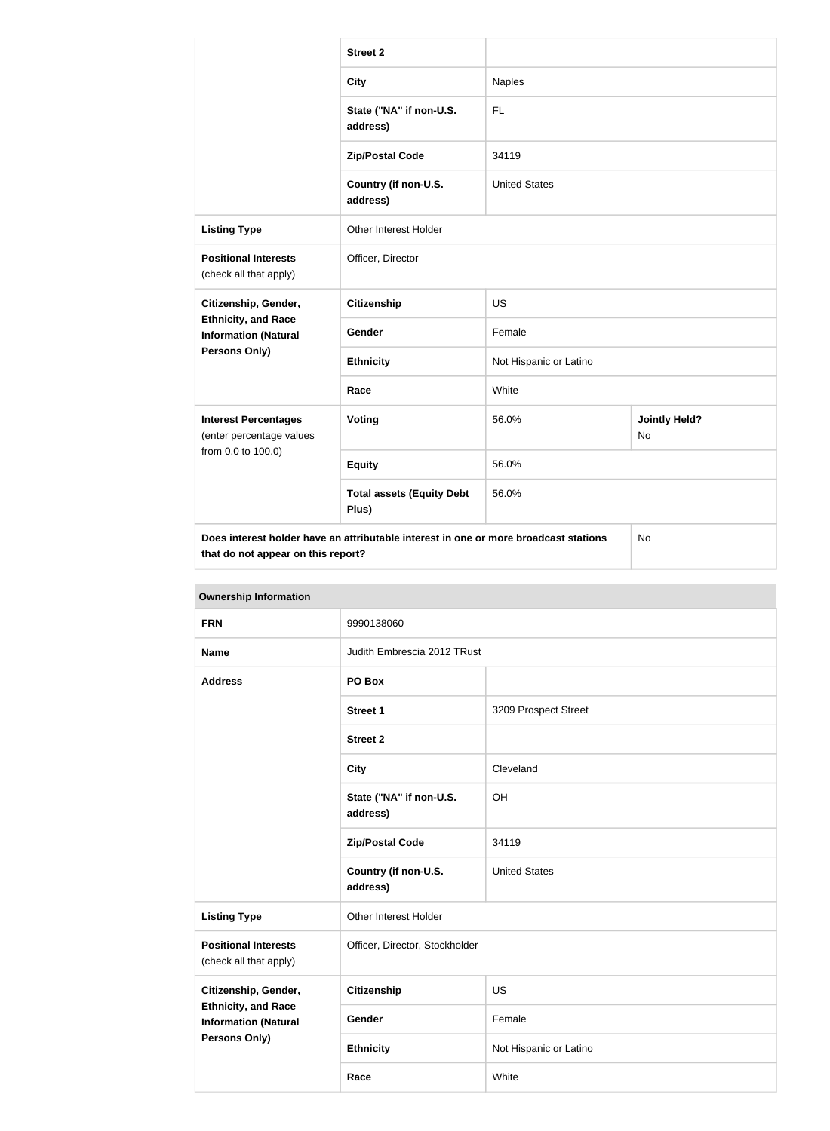|                                                                                                                            | <b>Street 2</b>                           |                        |                                   |  |
|----------------------------------------------------------------------------------------------------------------------------|-------------------------------------------|------------------------|-----------------------------------|--|
|                                                                                                                            | <b>City</b>                               | <b>Naples</b>          |                                   |  |
|                                                                                                                            | State ("NA" if non-U.S.<br>address)       | FL                     |                                   |  |
|                                                                                                                            | <b>Zip/Postal Code</b>                    | 34119                  |                                   |  |
|                                                                                                                            | Country (if non-U.S.<br>address)          | <b>United States</b>   |                                   |  |
| <b>Listing Type</b>                                                                                                        | Other Interest Holder                     |                        |                                   |  |
| <b>Positional Interests</b><br>(check all that apply)                                                                      | Officer, Director                         |                        |                                   |  |
| Citizenship, Gender,                                                                                                       | <b>Citizenship</b>                        | <b>US</b>              |                                   |  |
| <b>Ethnicity, and Race</b><br><b>Information (Natural</b>                                                                  | Gender                                    | Female                 |                                   |  |
| <b>Persons Only)</b>                                                                                                       | <b>Ethnicity</b>                          | Not Hispanic or Latino |                                   |  |
|                                                                                                                            | Race                                      | White                  |                                   |  |
| <b>Interest Percentages</b><br>(enter percentage values                                                                    | Voting                                    | 56.0%                  | <b>Jointly Held?</b><br><b>No</b> |  |
| from 0.0 to 100.0)                                                                                                         | <b>Equity</b>                             | 56.0%                  |                                   |  |
|                                                                                                                            | <b>Total assets (Equity Debt</b><br>Plus) | 56.0%                  |                                   |  |
| Does interest holder have an attributable interest in one or more broadcast stations<br>that do not appear on this report? |                                           |                        | No                                |  |

| <b>Ownership Information</b>                              |                                     |                             |  |
|-----------------------------------------------------------|-------------------------------------|-----------------------------|--|
| <b>FRN</b>                                                | 9990138060                          |                             |  |
| <b>Name</b>                                               |                                     | Judith Embrescia 2012 TRust |  |
| <b>Address</b>                                            | PO Box                              |                             |  |
|                                                           | <b>Street 1</b>                     | 3209 Prospect Street        |  |
|                                                           | <b>Street 2</b>                     |                             |  |
|                                                           | <b>City</b>                         | Cleveland                   |  |
|                                                           | State ("NA" if non-U.S.<br>address) | OH                          |  |
|                                                           | <b>Zip/Postal Code</b>              | 34119                       |  |
|                                                           | Country (if non-U.S.<br>address)    | <b>United States</b>        |  |
| <b>Listing Type</b>                                       | Other Interest Holder               |                             |  |
| <b>Positional Interests</b><br>(check all that apply)     | Officer, Director, Stockholder      |                             |  |
| Citizenship, Gender,                                      | <b>Citizenship</b>                  | <b>US</b>                   |  |
| <b>Ethnicity, and Race</b><br><b>Information (Natural</b> | <b>Gender</b>                       | Female                      |  |

**Ethnicity** Not Hispanic or Latino

**Race** White

**Persons Only)**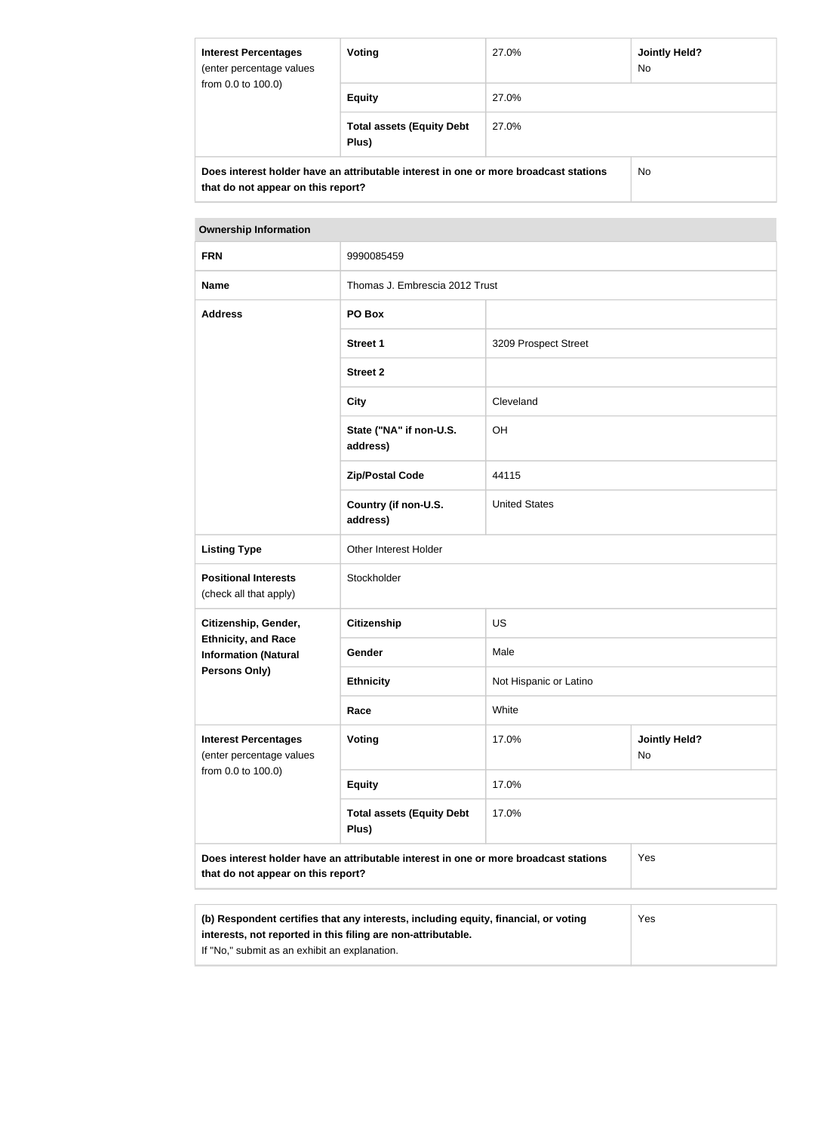| <b>Interest Percentages</b><br>(enter percentage values<br>from 0.0 to 100.0)                                              | Voting                                    | <b>Jointly Held?</b><br>27.0%<br><b>No</b> |  |  |
|----------------------------------------------------------------------------------------------------------------------------|-------------------------------------------|--------------------------------------------|--|--|
|                                                                                                                            | <b>Equity</b>                             | 27.0%                                      |  |  |
|                                                                                                                            | <b>Total assets (Equity Debt</b><br>Plus) | 27.0%                                      |  |  |
| Does interest holder have an attributable interest in one or more broadcast stations<br>that do not appear on this report? |                                           | No.                                        |  |  |

| <b>FRN</b>                                                                                                                 | 9990085459                                |                        |                            |  |
|----------------------------------------------------------------------------------------------------------------------------|-------------------------------------------|------------------------|----------------------------|--|
| <b>Name</b>                                                                                                                | Thomas J. Embrescia 2012 Trust            |                        |                            |  |
| <b>Address</b>                                                                                                             | PO Box                                    |                        |                            |  |
|                                                                                                                            | <b>Street 1</b>                           | 3209 Prospect Street   |                            |  |
|                                                                                                                            | <b>Street 2</b>                           |                        |                            |  |
|                                                                                                                            | <b>City</b>                               | Cleveland              |                            |  |
|                                                                                                                            | State ("NA" if non-U.S.<br>address)       | OH                     |                            |  |
|                                                                                                                            | <b>Zip/Postal Code</b>                    | 44115                  |                            |  |
|                                                                                                                            | Country (if non-U.S.<br>address)          | <b>United States</b>   |                            |  |
| <b>Listing Type</b>                                                                                                        | Other Interest Holder                     |                        |                            |  |
| <b>Positional Interests</b><br>(check all that apply)                                                                      | Stockholder                               |                        |                            |  |
| Citizenship, Gender,                                                                                                       | <b>Citizenship</b>                        | <b>US</b>              |                            |  |
| <b>Ethnicity, and Race</b><br><b>Information (Natural</b>                                                                  | Gender                                    | Male                   |                            |  |
| Persons Only)                                                                                                              | <b>Ethnicity</b>                          | Not Hispanic or Latino |                            |  |
|                                                                                                                            | Race                                      | White                  |                            |  |
| <b>Interest Percentages</b><br>(enter percentage values<br>from 0.0 to 100.0)                                              | Voting                                    | 17.0%                  | <b>Jointly Held?</b><br>No |  |
|                                                                                                                            | <b>Equity</b>                             | 17.0%                  |                            |  |
|                                                                                                                            | <b>Total assets (Equity Debt</b><br>Plus) | 17.0%                  |                            |  |
| Does interest holder have an attributable interest in one or more broadcast stations<br>that do not appear on this report? |                                           |                        | Yes                        |  |
|                                                                                                                            |                                           |                        |                            |  |

| (b) Respondent certifies that any interests, including equity, financial, or voting | <b>Yes</b> |
|-------------------------------------------------------------------------------------|------------|
| interests, not reported in this filing are non-attributable.                        |            |
| If "No," submit as an exhibit an explanation.                                       |            |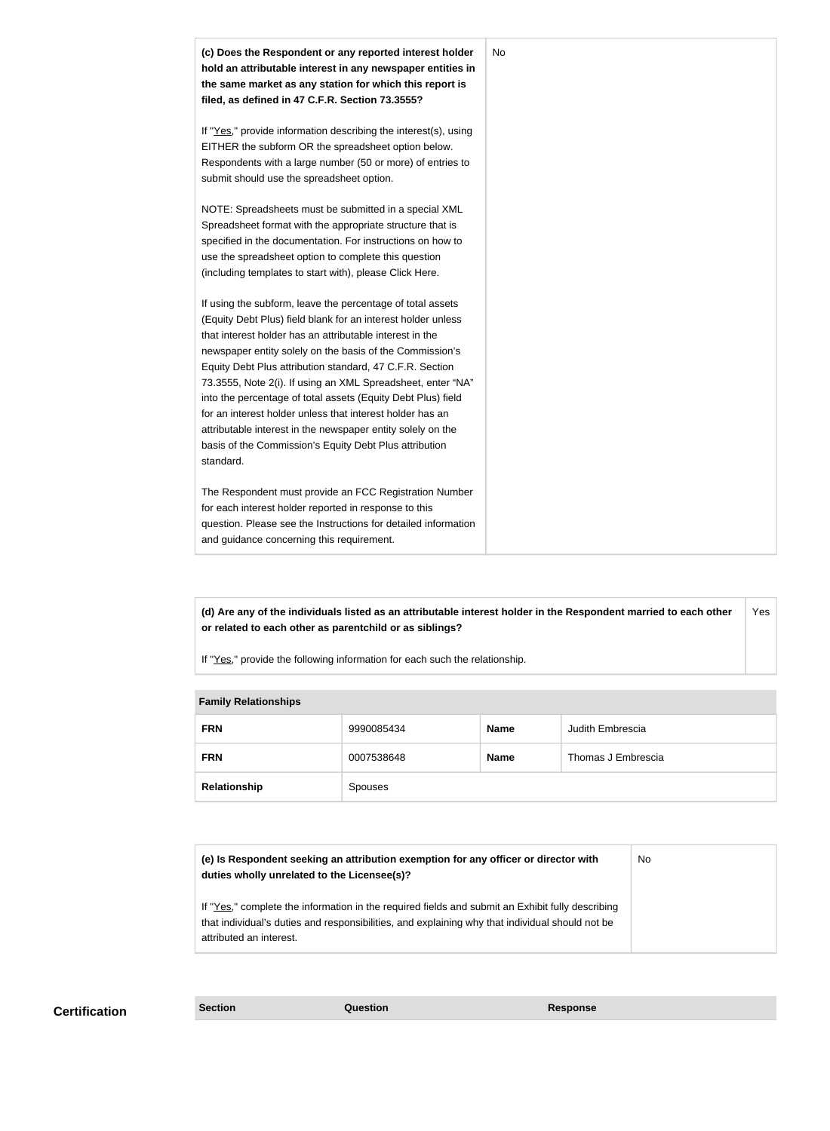

**(d) Are any of the individuals listed as an attributable interest holder in the Respondent married to each other or related to each other as parentchild or as siblings?** Yes

If "Yes," provide the following information for each such the relationship.

| <b>Fallilly INGIQUUISIIIPS</b> |                |             |                    |
|--------------------------------|----------------|-------------|--------------------|
| <b>FRN</b>                     | 9990085434     | <b>Name</b> | Judith Embrescia   |
| <b>FRN</b>                     | 0007538648     | <b>Name</b> | Thomas J Embrescia |
| Relationship                   | <b>Spouses</b> |             |                    |

#### **Family Relationships**

| (e) Is Respondent seeking an attribution exemption for any officer or director with<br>duties wholly unrelated to the Licensee(s)?                                                                  | No |
|-----------------------------------------------------------------------------------------------------------------------------------------------------------------------------------------------------|----|
| If "Yes," complete the information in the required fields and submit an Exhibit fully describing<br>that individual's duties and responsibilities, and explaining why that individual should not be |    |
| attributed an interest.                                                                                                                                                                             |    |